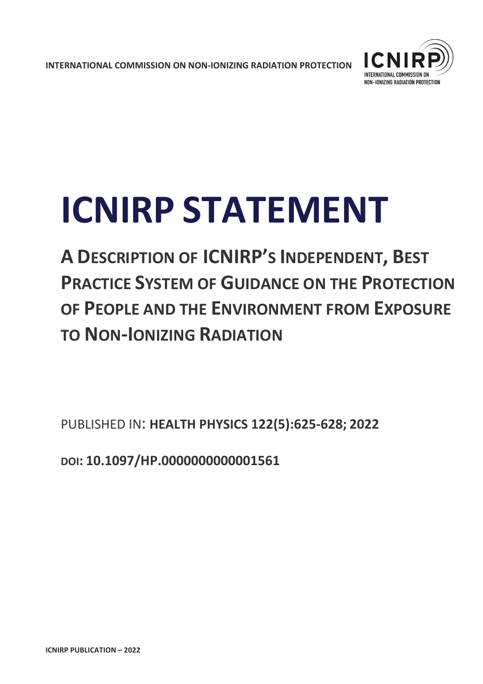**INTERNATIONAL COMMISSION ON NON-IONIZING RADIATION PROTECTION** 



# **ICNIRP STATEMENT**

**A DESCRIPTION OF ICNIRP'S INDEPENDENT, BEST PRACTICE SYSTEM OF GUIDANCE ON THE PROTECTION OF PEOPLE AND THE ENVIRONMENT FROM EXPOSURE TO NON-IONIZING RADIATION**

PUBLISHED IN: **HEALTH PHYSICS 122(5):625-628; 2022** 

**DOI: 10.1097/HP.0000000000001561**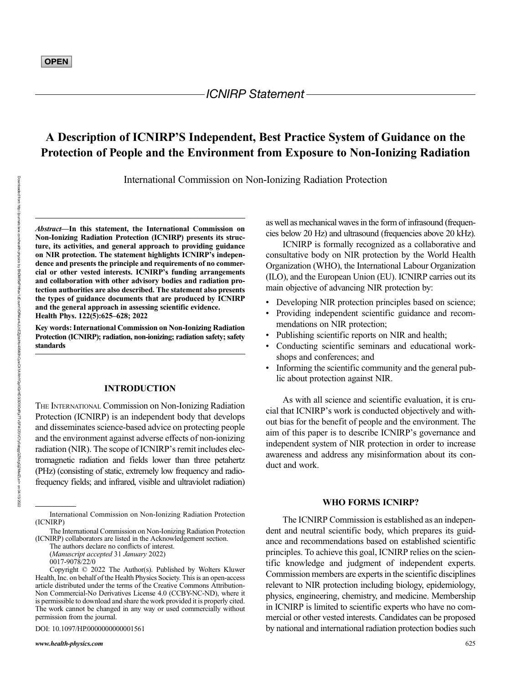Downloaded from

http://journals.lww.com/health-physics

হ

BhDMf5ePHKav1zEoum1tQfN4a+kJLhEZgbsIHo4XMi0hCywCX1AWnYQp/IlQrHD3i3D0OdRyi7TvSFl4Cf3VC1y0abggQZXdgGj2MwlZLeI=

on 04/13/2022

# A Description of ICNIRP'S Independent, Best Practice System of Guidance on the Protection of People and the Environment from Exposure to Non-Ionizing Radiation

International Commission on Non-Ionizing Radiation Protection

Abstract—In this statement, the International Commission on Non-Ionizing Radiation Protection (ICNIRP) presents its structure, its activities, and general approach to providing guidance on NIR protection. The statement highlights ICNIRP's independence and presents the principle and requirements of no commercial or other vested interests. ICNIRP's funding arrangements and collaboration with other advisory bodies and radiation protection authorities are also described. The statement also presents the types of guidance documents that are produced by ICNIRP and the general approach in assessing scientific evidence. Health Phys. 122(5):625–628; 2022

Key words: International Commission on Non-Ionizing Radiation Protection (ICNIRP); radiation, non-ionizing; radiation safety; safety standards

### INTRODUCTION

THE INTERNATIONAL Commission on Non-Ionizing Radiation Protection (ICNIRP) is an independent body that develops and disseminates science-based advice on protecting people and the environment against adverse effects of non-ionizing radiation (NIR). The scope of ICNIRP's remit includes electromagnetic radiation and fields lower than three petahertz (PHz) (consisting of static, extremely low frequency and radiofrequency fields; and infrared, visible and ultraviolet radiation)

The authors declare no conflicts of interest.

(Manuscript accepted 31 January 2022)

DOI: 10.1097/HP.0000000000001561

as well as mechanical waves in the form of infrasound (frequencies below 20 Hz) and ultrasound (frequencies above 20 kHz).

ICNIRP is formally recognized as a collaborative and consultative body on NIR protection by the World Health Organization (WHO), the International Labour Organization (ILO), and the European Union (EU). ICNIRP carries out its main objective of advancing NIR protection by:

- Developing NIR protection principles based on science;
- Providing independent scientific guidance and recommendations on NIR protection;
- Publishing scientific reports on NIR and health;
- Conducting scientific seminars and educational workshops and conferences; and
- Informing the scientific community and the general public about protection against NIR.

As with all science and scientific evaluation, it is crucial that ICNIRP's work is conducted objectively and without bias for the benefit of people and the environment. The aim of this paper is to describe ICNIRP's governance and independent system of NIR protection in order to increase awareness and address any misinformation about its conduct and work.

## WHO FORMS ICNIRP?

The ICNIRP Commission is established as an independent and neutral scientific body, which prepares its guidance and recommendations based on established scientific principles. To achieve this goal, ICNIRP relies on the scientific knowledge and judgment of independent experts. Commission members are experts in the scientific disciplines relevant to NIR protection including biology, epidemiology, physics, engineering, chemistry, and medicine. Membership in ICNIRP is limited to scientific experts who have no commercial or other vested interests. Candidates can be proposed by national and international radiation protection bodies such

International Commission on Non-Ionizing Radiation Protection (ICNIRP)

The International Commission on Non-Ionizing Radiation Protection (ICNIRP) collaborators are listed in the Acknowledgement section.

<sup>0017-9078/22/0</sup>

Copyright © 2022 The Author(s). Published by Wolters Kluwer Health, Inc. on behalf of the Health Physics Society. This is an open-access article distributed under the terms of the [Creative Commons Attribution-](http://creativecommons.org/licenses/by-nc-nd/4.0/)[Non Commercial-No Derivatives License 4.0 \(CCBY-NC-ND\),](http://creativecommons.org/licenses/by-nc-nd/4.0/) where it is permissible to download and share the work provided it is properly cited. The work cannot be changed in any way or used commercially without permission from the journal.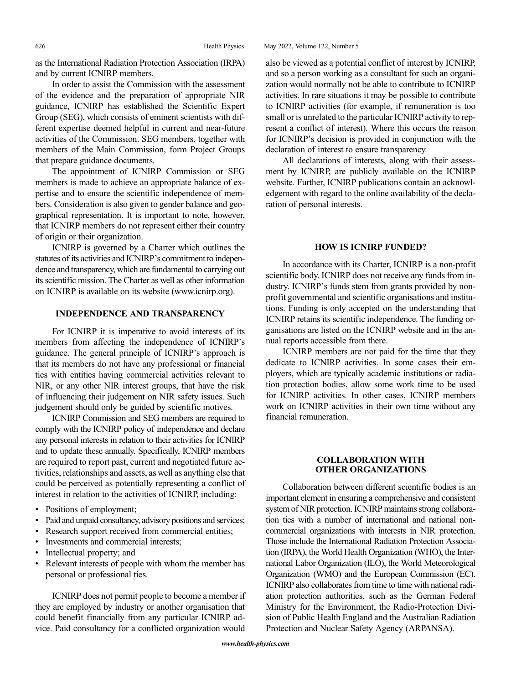as the International Radiation Protection Association (IRPA) and by current ICNIRP members.

In order to assist the Commission with the assessment of the evidence and the preparation of appropriate NIR guidance, ICNIRP has established the Scientific Expert Group (SEG), which consists of eminent scientists with different expertise deemed helpful in current and near-future activities of the Commission. SEG members, together with members of the Main Commission, form Project Groups that prepare guidance documents.

The appointment of ICNIRP Commission or SEG members is made to achieve an appropriate balance of expertise and to ensure the scientific independence of members. Consideration is also given to gender balance and geographical representation. It is important to note, however, that ICNIRP members do not represent either their country of origin or their organization.

ICNIRP is governed by a Charter which outlines the statutes of its activities and ICNIRP's commitment to independence and transparency, which are fundamental to carrying out its scientific mission. The Charter as well as other information on ICNIRP is available on its website ([www.icnirp.org](http://www.icnirp.org)).

#### INDEPENDENCE AND TRANSPARENCY

For ICNIRP it is imperative to avoid interests of its members from affecting the independence of ICNIRP's guidance. The general principle of ICNIRP's approach is that its members do not have any professional or financial ties with entities having commercial activities relevant to NIR, or any other NIR interest groups, that have the risk of influencing their judgement on NIR safety issues. Such judgement should only be guided by scientific motives.

ICNIRP Commission and SEG members are required to comply with the ICNIRP policy of independence and declare any personal interests in relation to their activities for ICNIRP and to update these annually. Specifically, ICNIRP members are required to report past, current and negotiated future activities, relationships and assets, as well as anything else that could be perceived as potentially representing a conflict of interest in relation to the activities of ICNIRP, including:

- Positions of employment;
- Paid and unpaid consultancy, advisory positions and services;
- Research support received from commercial entities;
- Investments and commercial interests;
- Intellectual property; and
- Relevant interests of people with whom the member has personal or professional ties.

ICNIRP does not permit people to become a member if they are employed by industry or another organisation that could benefit financially from any particular ICNIRP advice. Paid consultancy for a conflicted organization would

626 Health Physics May 2022, Volume 122, Number 5

also be viewed as a potential conflict of interest by ICNIRP, and so a person working as a consultant for such an organization would normally not be able to contribute to ICNIRP activities. In rare situations it may be possible to contribute to ICNIRP activities (for example, if remuneration is too small or is unrelated to the particular ICNIRP activity to represent a conflict of interest). Where this occurs the reason for ICNIRP's decision is provided in conjunction with the declaration of interest to ensure transparency.

All declarations of interests, along with their assessment by ICNIRP, are publicly available on the ICNIRP website. Further, ICNIRP publications contain an acknowledgement with regard to the online availability of the declaration of personal interests.

#### HOW IS ICNIRP FUNDED?

In accordance with its Charter, ICNIRP is a non-profit scientific body. ICNIRP does not receive any funds from industry. ICNIRP's funds stem from grants provided by nonprofit governmental and scientific organisations and institutions. Funding is only accepted on the understanding that ICNIRP retains its scientific independence. The funding organisations are listed on the ICNIRP website and in the annual reports accessible from there.

ICNIRP members are not paid for the time that they dedicate to ICNIRP activities. In some cases their employers, which are typically academic institutions or radiation protection bodies, allow some work time to be used for ICNIRP activities. In other cases, ICNIRP members work on ICNIRP activities in their own time without any financial remuneration.

#### COLLABORATION WITH OTHER ORGANIZATIONS

Collaboration between different scientific bodies is an important element in ensuring a comprehensive and consistent system of NIR protection. ICNIRP maintains strong collaboration ties with a number of international and national noncommercial organizations with interests in NIR protection. Those include the International Radiation Protection Association (IRPA), the World Health Organization (WHO), the International Labor Organization (ILO), the World Meteorological Organization (WMO) and the European Commission (EC). ICNIRP also collaborates from time to time with national radiation protection authorities, such as the German Federal Ministry for the Environment, the Radio-Protection Division of Public Health England and the Australian Radiation Protection and Nuclear Safety Agency (ARPANSA).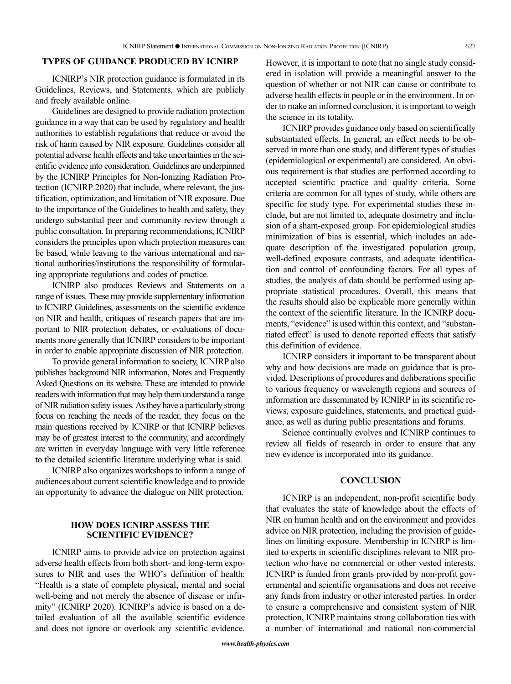#### TYPES OF GUIDANCE PRODUCED BY ICNIRP

ICNIRP's NIR protection guidance is formulated in its Guidelines, Reviews, and Statements, which are publicly and freely available online.

Guidelines are designed to provide radiation protection guidance in a way that can be used by regulatory and health authorities to establish regulations that reduce or avoid the risk of harm caused by NIR exposure. Guidelines consider all potential adverse health effects and take uncertainties in the scientific evidence into consideration. Guidelines are underpinned by the ICNIRP Principles for Non-Ionizing Radiation Protection (ICNIRP 2020) that include, where relevant, the justification, optimization, and limitation of NIR exposure. Due to the importance of the Guidelines to health and safety, they undergo substantial peer and community review through a public consultation. In preparing recommendations, ICNIRP considers the principles upon which protection measures can be based, while leaving to the various international and national authorities/institutions the responsibility of formulating appropriate regulations and codes of practice.

ICNIRP also produces Reviews and Statements on a range of issues. These may provide supplementary information to ICNIRP Guidelines, assessments on the scientific evidence on NIR and health, critiques of research papers that are important to NIR protection debates, or evaluations of documents more generally that ICNIRP considers to be important in order to enable appropriate discussion of NIR protection.

To provide general information to society, ICNIRP also publishes background NIR information, Notes and Frequently Asked Questions on its website. These are intended to provide readers with information that may help them understand a range of NIR radiation safety issues. As they have a particularly strong focus on reaching the needs of the reader, they focus on the main questions received by ICNIRP or that ICNIRP believes may be of greatest interest to the community, and accordingly are written in everyday language with very little reference to the detailed scientific literature underlying what is said.

ICNIRP also organizes workshops to inform a range of audiences about current scientific knowledge and to provide an opportunity to advance the dialogue on NIR protection.

#### HOW DOES ICNIRP ASSESS THE SCIENTIFIC EVIDENCE?

ICNIRP aims to provide advice on protection against adverse health effects from both short- and long-term exposures to NIR and uses the WHO's definition of health: "Health is a state of complete physical, mental and social well-being and not merely the absence of disease or infirmity" (ICNIRP 2020). ICNIRP's advice is based on a detailed evaluation of all the available scientific evidence and does not ignore or overlook any scientific evidence. However, it is important to note that no single study considered in isolation will provide a meaningful answer to the question of whether or not NIR can cause or contribute to adverse health effects in people or in the environment. In order to make an informed conclusion, it is important to weigh the science in its totality.

ICNIRP provides guidance only based on scientifically substantiated effects. In general, an effect needs to be observed in more than one study, and different types of studies (epidemiological or experimental) are considered. An obvious requirement is that studies are performed according to accepted scientific practice and quality criteria. Some criteria are common for all types of study, while others are specific for study type. For experimental studies these include, but are not limited to, adequate dosimetry and inclusion of a sham-exposed group. For epidemiological studies minimization of bias is essential, which includes an adequate description of the investigated population group, well-defined exposure contrasts, and adequate identification and control of confounding factors. For all types of studies, the analysis of data should be performed using appropriate statistical procedures. Overall, this means that the results should also be explicable more generally within the context of the scientific literature. In the ICNIRP documents, "evidence" is used within this context, and "substantiated effect" is used to denote reported effects that satisfy this definition of evidence.

ICNIRP considers it important to be transparent about why and how decisions are made on guidance that is provided. Descriptions of procedures and deliberations specific to various frequency or wavelength regions and sources of information are disseminated by ICNIRP in its scientific reviews, exposure guidelines, statements, and practical guidance, as well as during public presentations and forums.

Science continually evolves and ICNIRP continues to review all fields of research in order to ensure that any new evidence is incorporated into its guidance.

#### **CONCLUSION**

ICNIRP is an independent, non-profit scientific body that evaluates the state of knowledge about the effects of NIR on human health and on the environment and provides advice on NIR protection, including the provision of guidelines on limiting exposure. Membership in ICNIRP is limited to experts in scientific disciplines relevant to NIR protection who have no commercial or other vested interests. ICNIRP is funded from grants provided by non-profit governmental and scientific organisations and does not receive any funds from industry or other interested parties. In order to ensure a comprehensive and consistent system of NIR protection, ICNIRP maintains strong collaboration ties with a number of international and national non-commercial